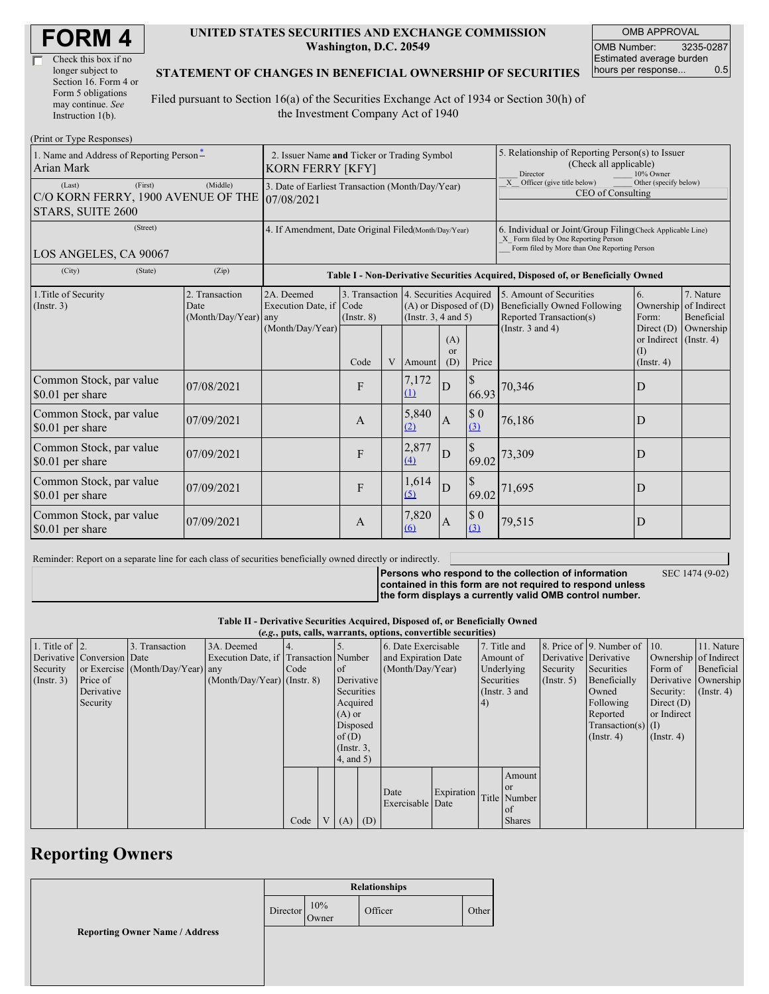| <b>FORM4</b> |  |
|--------------|--|
|--------------|--|

| Check this box if no  |  |
|-----------------------|--|
| longer subject to     |  |
| Section 16. Form 4 or |  |
| Form 5 obligations    |  |
| may continue. See     |  |
| Instruction $1(b)$ .  |  |

#### **UNITED STATES SECURITIES AND EXCHANGE COMMISSION Washington, D.C. 20549**

OMB APPROVAL OMB Number: 3235-0287 Estimated average burden hours per response... 0.5

#### **STATEMENT OF CHANGES IN BENEFICIAL OWNERSHIP OF SECURITIES**

Filed pursuant to Section 16(a) of the Securities Exchange Act of 1934 or Section 30(h) of the Investment Company Act of 1940

| (Print or Type Responses)                                                    |                                                                                                                                                                                                                 |                                                                                  |              |                                                                                                                                                                 |              |                  |                                                                                                                                                    |                       |                                                   |                               |  |
|------------------------------------------------------------------------------|-----------------------------------------------------------------------------------------------------------------------------------------------------------------------------------------------------------------|----------------------------------------------------------------------------------|--------------|-----------------------------------------------------------------------------------------------------------------------------------------------------------------|--------------|------------------|----------------------------------------------------------------------------------------------------------------------------------------------------|-----------------------|---------------------------------------------------|-------------------------------|--|
| 1. Name and Address of Reporting Person-<br>Arian Mark                       | 2. Issuer Name and Ticker or Trading Symbol<br><b>KORN FERRY [KFY]</b>                                                                                                                                          |                                                                                  |              |                                                                                                                                                                 |              |                  | 5. Relationship of Reporting Person(s) to Issuer<br>(Check all applicable)<br>Director<br>10% Owner                                                |                       |                                                   |                               |  |
| (First)<br>(Last)<br>C/O KORN FERRY, 1900 AVENUE OF THE<br>STARS, SUITE 2600 | 3. Date of Earliest Transaction (Month/Day/Year)<br>07/08/2021                                                                                                                                                  |                                                                                  |              |                                                                                                                                                                 |              |                  | X Officer (give title below)<br>Other (specify below)<br>CEO of Consulting                                                                         |                       |                                                   |                               |  |
| (Street)<br>LOS ANGELES, CA 90067                                            | 4. If Amendment, Date Original Filed(Month/Day/Year)                                                                                                                                                            |                                                                                  |              |                                                                                                                                                                 |              |                  | 6. Individual or Joint/Group Filing(Check Applicable Line)<br>X Form filed by One Reporting Person<br>Form filed by More than One Reporting Person |                       |                                                   |                               |  |
| (City)<br>(State)                                                            | (Zip)                                                                                                                                                                                                           | Table I - Non-Derivative Securities Acquired, Disposed of, or Beneficially Owned |              |                                                                                                                                                                 |              |                  |                                                                                                                                                    |                       |                                                   |                               |  |
| 1. Title of Security<br>(Insert. 3)                                          | 2. Transaction<br>2A. Deemed<br>3. Transaction 4. Securities Acquired<br>Execution Date, if Code<br>$(A)$ or Disposed of $(D)$<br>Date<br>$(Month/Day/Year)$ any<br>(Instr. $3, 4$ and $5$ )<br>$($ Instr. $8)$ |                                                                                  |              | 7. Nature<br>5. Amount of Securities<br>6.<br><b>Beneficially Owned Following</b><br>of Indirect<br>Ownership<br>Reported Transaction(s)<br>Form:<br>Beneficial |              |                  |                                                                                                                                                    |                       |                                                   |                               |  |
|                                                                              |                                                                                                                                                                                                                 | (Month/Day/Year)                                                                 | Code         | V                                                                                                                                                               | Amount       | (A)<br>or<br>(D) | Price                                                                                                                                              | (Instr. $3$ and $4$ ) | Direct $(D)$<br>or Indirect<br>(1)<br>(Insert, 4) | Ownership<br>$($ Instr. 4 $)$ |  |
| Common Stock, par value<br>\$0.01 per share                                  | 07/08/2021                                                                                                                                                                                                      |                                                                                  | F            |                                                                                                                                                                 | 7,172<br>(1) | $\mathbf D$      | $\mathbb{S}$<br>66.93                                                                                                                              | 70,346                | D                                                 |                               |  |
| Common Stock, par value<br>\$0.01 per share                                  | 07/09/2021                                                                                                                                                                                                      |                                                                                  | $\mathsf{A}$ |                                                                                                                                                                 | 5,840<br>(2) | $\mathbf{A}$     | $\$$ 0<br>(3)                                                                                                                                      | 76,186                | D                                                 |                               |  |
| Common Stock, par value<br>\$0.01 per share                                  | 07/09/2021                                                                                                                                                                                                      |                                                                                  | F            |                                                                                                                                                                 | 2,877<br>(4) | $\mathbf D$      | 69.02                                                                                                                                              | 73,309                | D                                                 |                               |  |
| Common Stock, par value<br>\$0.01 per share                                  | 07/09/2021                                                                                                                                                                                                      |                                                                                  | F            |                                                                                                                                                                 | 1,614<br>(5) | D                | \$<br>69.02                                                                                                                                        | 71,695                | D                                                 |                               |  |
| Common Stock, par value<br>\$0.01 per share                                  | 07/09/2021                                                                                                                                                                                                      |                                                                                  | $\mathbf{A}$ |                                                                                                                                                                 | 7,820<br>(6) | $\mathbf{A}$     | $\$$ 0<br>(3)                                                                                                                                      | 79,515                | D                                                 |                               |  |

Reminder: Report on a separate line for each class of securities beneficially owned directly or indirectly.

**Persons who respond to the collection of information contained in this form are not required to respond unless the form displays a currently valid OMB control number.** SEC 1474 (9-02)

**Table II - Derivative Securities Acquired, Disposed of, or Beneficially Owned**

|                        | (e.g., puts, calls, warrants, options, convertible securities) |                                  |                                       |      |  |                 |            |                     |            |           |               |              |                              |                       |               |
|------------------------|----------------------------------------------------------------|----------------------------------|---------------------------------------|------|--|-----------------|------------|---------------------|------------|-----------|---------------|--------------|------------------------------|-----------------------|---------------|
| 1. Title of $\vert$ 2. |                                                                | 3. Transaction                   | 3A. Deemed                            |      |  |                 |            | 6. Date Exercisable |            |           | 7. Title and  |              | 8. Price of 9. Number of 10. |                       | 11. Nature    |
|                        | Derivative Conversion Date                                     |                                  | Execution Date, if Transaction Number |      |  |                 |            | and Expiration Date |            | Amount of |               |              | Derivative Derivative        | Ownership of Indirect |               |
| Security               |                                                                | or Exercise (Month/Day/Year) any |                                       | Code |  | <sub>of</sub>   |            | (Month/Day/Year)    |            |           | Underlying    | Security     | Securities                   | Form of               | Beneficial    |
| (Insert. 3)            | Price of                                                       |                                  | $(Month/Day/Year)$ (Instr. 8)         |      |  |                 | Derivative |                     | Securities |           | (Insert, 5)   | Beneficially |                              | Derivative Ownership  |               |
|                        | Derivative                                                     |                                  |                                       |      |  | Securities      |            |                     |            |           | (Instr. 3 and |              | Owned                        | Security:             | $($ Instr. 4) |
|                        | Security                                                       |                                  |                                       |      |  | Acquired        |            |                     |            | (4)       |               |              | Following                    | Direct $(D)$          |               |
|                        |                                                                |                                  |                                       |      |  | $(A)$ or        |            |                     |            |           |               |              | Reported                     | or Indirect           |               |
|                        |                                                                |                                  |                                       |      |  | Disposed        |            |                     |            |           |               |              | Transaction(s) $(I)$         |                       |               |
|                        |                                                                |                                  |                                       |      |  | of $(D)$        |            |                     |            |           |               |              | $($ Instr. 4 $)$             | $($ Instr. 4 $)$      |               |
|                        |                                                                |                                  |                                       |      |  | $($ Instr. $3,$ |            |                     |            |           |               |              |                              |                       |               |
|                        |                                                                |                                  |                                       |      |  | $4$ , and 5)    |            |                     |            |           |               |              |                              |                       |               |
|                        |                                                                |                                  |                                       |      |  |                 |            |                     |            |           | Amount        |              |                              |                       |               |
|                        |                                                                |                                  |                                       |      |  |                 |            |                     |            |           | <b>or</b>     |              |                              |                       |               |
|                        |                                                                |                                  |                                       |      |  |                 |            | Date                | Expiration |           | Title Number  |              |                              |                       |               |
|                        |                                                                |                                  |                                       |      |  |                 |            | Exercisable Date    |            |           | of            |              |                              |                       |               |
|                        |                                                                |                                  |                                       | Code |  | V(A)            | (D)        |                     |            |           | <b>Shares</b> |              |                              |                       |               |

## **Reporting Owners**

|                                       | <b>Relationships</b> |              |         |       |  |
|---------------------------------------|----------------------|--------------|---------|-------|--|
|                                       | Director             | 10%<br>Owner | Officer | Other |  |
| <b>Reporting Owner Name / Address</b> |                      |              |         |       |  |